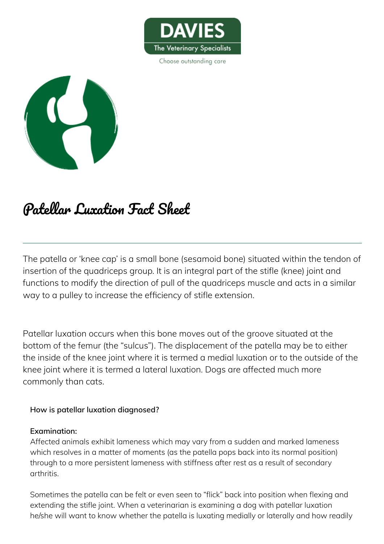

Choose outstanding care



# Patellar Luxation Fact Sheet

The patella or 'knee cap' is a small bone (sesamoid bone) situated within the tendon of insertion of the quadriceps group. It is an integral part of the stifle (knee) joint and functions to modify the direction of pull of the quadriceps muscle and acts in a similar way to a pulley to increase the efficiency of stifle extension.

Patellar luxation occurs when this bone moves out of the groove situated at the bottom of the femur (the "sulcus"). The displacement of the patella may be to either the inside of the knee joint where it is termed a medial luxation or to the outside of the knee joint where it is termed a lateral luxation. Dogs are affected much more commonly than cats.

#### **How is patellar luxation diagnosed?**

#### **Examination:**

Affected animals exhibit lameness which may vary from a sudden and marked lameness which resolves in a matter of moments (as the patella pops back into its normal position) through to a more persistent lameness with stiffness after rest as a result of secondary arthritis.

Sometimes the patella can be felt or even seen to "flick" back into position when flexing and extending the stifle joint. When a veterinarian is examining a dog with patellar luxation he/she will want to know whether the patella is luxating medially or laterally and how readily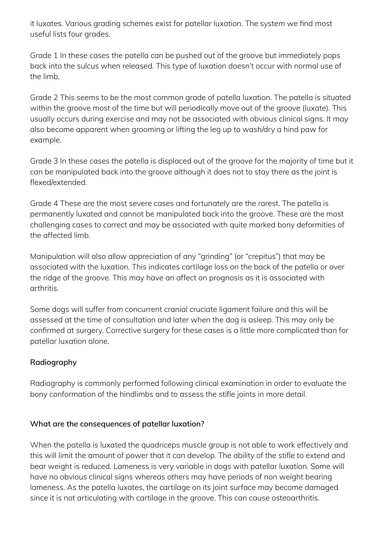it luxates. Various grading schemes exist for patellar luxation. The system we find most useful lists four grades.

Grade 1 In these cases the patella can be pushed out of the groove but immediately pops back into the sulcus when released. This type of luxation doesn't occur with normal use of the limb.

Grade 2 This seems to be the most common grade of patella luxation. The patella is situated within the groove most of the time but will periodically move out of the groove (luxate). This usually occurs during exercise and may not be associated with obvious clinical signs. It may also become apparent when grooming or lifting the leg up to wash/dry a hind paw for example.

Grade 3 In these cases the patella is displaced out of the groove for the majority of time but it can be manipulated back into the groove although it does not to stay there as the joint is flexed/extended.

Grade 4 These are the most severe cases and fortunately are the rarest. The patella is permanently luxated and cannot be manipulated back into the groove. These are the most challenging cases to correct and may be associated with quite marked bony deformities of the affected limb.

Manipulation will also allow appreciation of any "grinding" (or "crepitus") that may be associated with the luxation. This indicates cartilage loss on the back of the patella or over the ridge of the groove. This may have an affect on prognosis as it is associated with arthritis.

Some dogs will suffer from concurrent cranial cruciate ligament failure and this will be assessed at the time of consultation and later when the dog is asleep. This may only be confirmed at surgery. Corrective surgery for these cases is a little more complicated than for patellar luxation alone.

## **Radiography**

Radiography is commonly performed following clinical examination in order to evaluate the bony conformation of the hindlimbs and to assess the stifle joints in more detail.

### **What are the consequences of patellar luxation?**

When the patella is luxated the quadriceps muscle group is not able to work effectively and this will limit the amount of power that it can develop. The ability of the stifle to extend and bear weight is reduced. Lameness is very variable in dogs with patellar luxation. Some will have no obvious clinical signs whereas others may have periods of non weight bearing lameness. As the patella luxates, the cartilage on its joint surface may become damaged since it is not articulating with cartilage in the groove. This can cause osteoarthritis.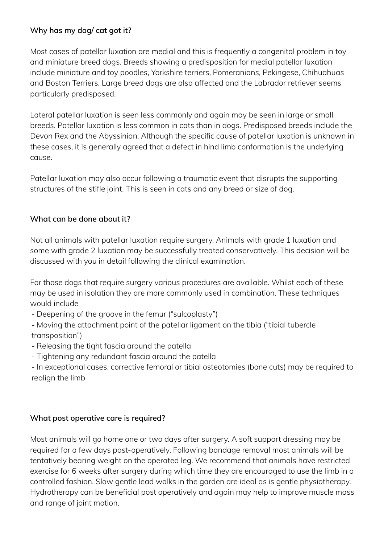## **Why has my dog/ cat got it?**

Most cases of patellar luxation are medial and this is frequently a congenital problem in toy and miniature breed dogs. Breeds showing a predisposition for medial patellar luxation include miniature and toy poodles, Yorkshire terriers, Pomeranians, Pekingese, Chihuahuas and Boston Terriers. Large breed dogs are also affected and the Labrador retriever seems particularly predisposed.

Lateral patellar luxation is seen less commonly and again may be seen in large or small breeds. Patellar luxation is less common in cats than in dogs. Predisposed breeds include the Devon Rex and the Abyssinian. Although the specific cause of patellar luxation is unknown in these cases, it is generally agreed that a defect in hind limb conformation is the underlying cause.

Patellar luxation may also occur following a traumatic event that disrupts the supporting structures of the stifle joint. This is seen in cats and any breed or size of dog.

### **What can be done about it?**

Not all animals with patellar luxation require surgery. Animals with grade 1 luxation and some with grade 2 luxation may be successfully treated conservatively. This decision will be discussed with you in detail following the clinical examination.

For those dogs that require surgery various procedures are available. Whilst each of these may be used in isolation they are more commonly used in combination. These techniques would include

- Deepening of the groove in the femur ("sulcoplasty")

- Moving the attachment point of the patellar ligament on the tibia ("tibial tubercle transposition")
- Releasing the tight fascia around the patella
- Tightening any redundant fascia around the patella

- In exceptional cases, corrective femoral or tibial osteotomies (bone cuts) may be required to realign the limb

### **What post operative care is required?**

Most animals will go home one or two days after surgery. A soft support dressing may be required for a few days post-operatively. Following bandage removal most animals will be tentatively bearing weight on the operated leg. We recommend that animals have restricted exercise for 6 weeks after surgery during which time they are encouraged to use the limb in a controlled fashion. Slow gentle lead walks in the garden are ideal as is gentle physiotherapy. Hydrotherapy can be beneficial post operatively and again may help to improve muscle mass and range of joint motion.